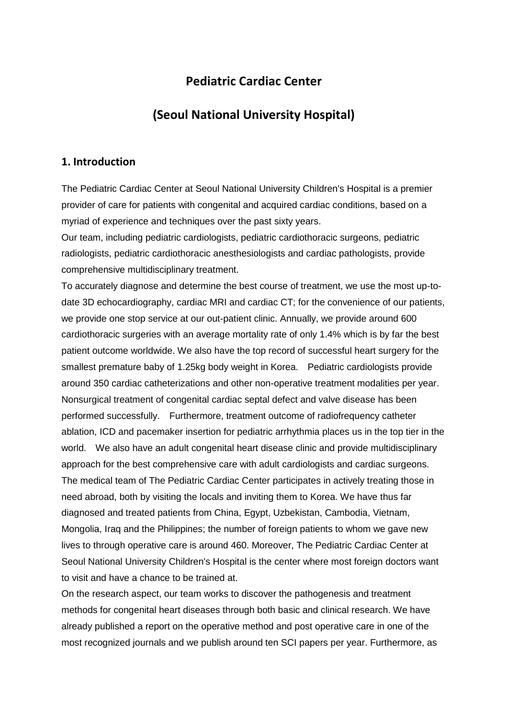# **Pediatric Cardiac Center**

# **(Seoul National University Hospital)**

#### **1. Introduction**

The Pediatric Cardiac Center at Seoul National University Children's Hospital is a premier provider of care for patients with congenital and acquired cardiac conditions, based on a myriad of experience and techniques over the past sixty years.

Our team, including pediatric cardiologists, pediatric cardiothoracic surgeons, pediatric radiologists, pediatric cardiothoracic anesthesiologists and cardiac pathologists, provide comprehensive multidisciplinary treatment.

To accurately diagnose and determine the best course of treatment, we use the most up-todate 3D echocardiography, cardiac MRI and cardiac CT; for the convenience of our patients, we provide one stop service at our out-patient clinic. Annually, we provide around 600 cardiothoracic surgeries with an average mortality rate of only 1.4% which is by far the best patient outcome worldwide. We also have the top record of successful heart surgery for the smallest premature baby of 1.25kg body weight in Korea. Pediatric cardiologists provide around 350 cardiac catheterizations and other non-operative treatment modalities per year. Nonsurgical treatment of congenital cardiac septal defect and valve disease has been performed successfully. Furthermore, treatment outcome of radiofrequency catheter ablation, ICD and pacemaker insertion for pediatric arrhythmia places us in the top tier in the world. We also have an adult congenital heart disease clinic and provide multidisciplinary approach for the best comprehensive care with adult cardiologists and cardiac surgeons. The medical team of The Pediatric Cardiac Center participates in actively treating those in need abroad, both by visiting the locals and inviting them to Korea. We have thus far diagnosed and treated patients from China, Egypt, Uzbekistan, Cambodia, Vietnam, Mongolia, Iraq and the Philippines; the number of foreign patients to whom we gave new lives to through operative care is around 460. Moreover, The Pediatric Cardiac Center at Seoul National University Children's Hospital is the center where most foreign doctors want to visit and have a chance to be trained at.

On the research aspect, our team works to discover the pathogenesis and treatment methods for congenital heart diseases through both basic and clinical research. We have already published a report on the operative method and post operative care in one of the most recognized journals and we publish around ten SCI papers per year. Furthermore, as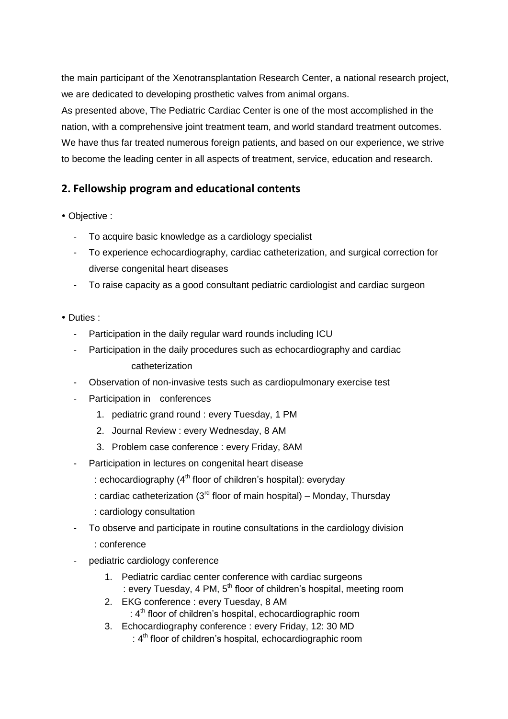the main participant of the Xenotransplantation Research Center, a national research project, we are dedicated to developing prosthetic valves from animal organs.

As presented above, The Pediatric Cardiac Center is one of the most accomplished in the nation, with a comprehensive joint treatment team, and world standard treatment outcomes. We have thus far treated numerous foreign patients, and based on our experience, we strive to become the leading center in all aspects of treatment, service, education and research.

### **2. Fellowship program and educational contents**

- Objective :
	- To acquire basic knowledge as a cardiology specialist
	- To experience echocardiography, cardiac catheterization, and surgical correction for diverse congenital heart diseases
	- To raise capacity as a good consultant pediatric cardiologist and cardiac surgeon
- Duties :
	- Participation in the daily regular ward rounds including ICU
	- Participation in the daily procedures such as echocardiography and cardiac catheterization
	- Observation of non-invasive tests such as cardiopulmonary exercise test
	- Participation in conferences
		- 1. pediatric grand round : every Tuesday, 1 PM
		- 2. Journal Review : every Wednesday, 8 AM
		- 3. Problem case conference : every Friday, 8AM
	- Participation in lectures on congenital heart disease
		- : echocardiography  $(4<sup>th</sup>$  floor of children's hospital): everyday
		- : cardiac catheterization ( $3<sup>rd</sup>$  floor of main hospital) Monday, Thursday
		- : cardiology consultation
	- To observe and participate in routine consultations in the cardiology division
		- : conference
	- pediatric cardiology conference
		- 1. Pediatric cardiac center conference with cardiac surgeons : every Tuesday, 4 PM,  $5<sup>th</sup>$  floor of children's hospital, meeting room
		- 2. EKG conference : every Tuesday, 8 AM : 4 th floor of children's hospital, echocardiographic room
			- 3. Echocardiography conference : every Friday, 12: 30 MD : 4<sup>th</sup> floor of children's hospital, echocardiographic room